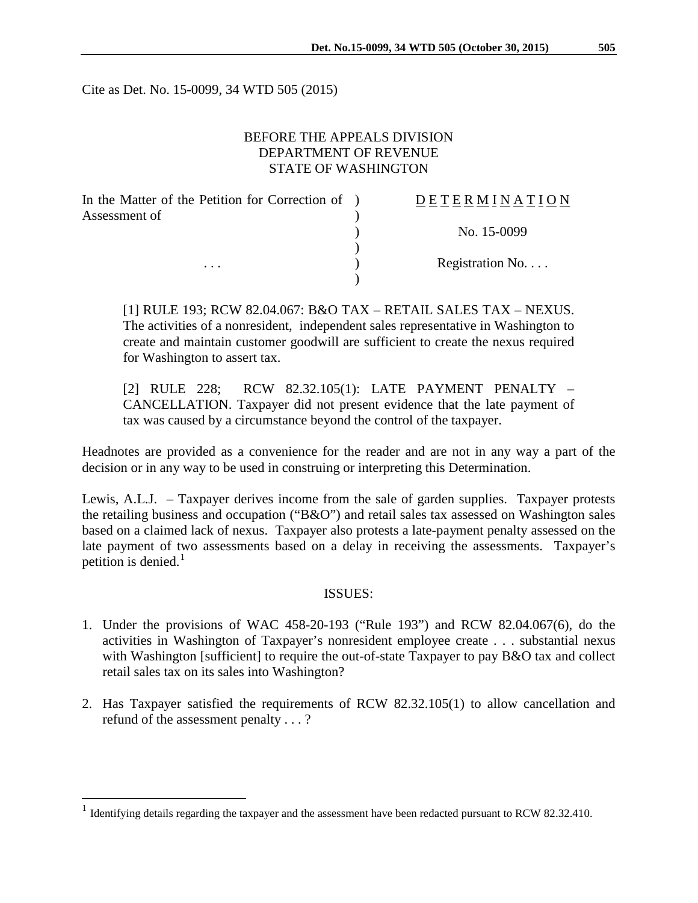Cite as Det. No. 15-0099, 34 WTD 505 (2015)

## BEFORE THE APPEALS DIVISION DEPARTMENT OF REVENUE STATE OF WASHINGTON

| In the Matter of the Petition for Correction of ) | DETERMINATION            |
|---------------------------------------------------|--------------------------|
| Assessment of                                     |                          |
|                                                   | No. 15-0099              |
|                                                   |                          |
| $\cdots$                                          | Registration No. $\dots$ |
|                                                   |                          |

[1] RULE 193; RCW 82.04.067: B&O TAX – RETAIL SALES TAX – NEXUS. The activities of a nonresident, independent sales representative in Washington to create and maintain customer goodwill are sufficient to create the nexus required for Washington to assert tax.

[2] RULE 228; RCW 82.32.105(1): LATE PAYMENT PENALTY – CANCELLATION. Taxpayer did not present evidence that the late payment of tax was caused by a circumstance beyond the control of the taxpayer.

Headnotes are provided as a convenience for the reader and are not in any way a part of the decision or in any way to be used in construing or interpreting this Determination.

Lewis, A.L.J. – Taxpayer derives income from the sale of garden supplies. Taxpayer protests the retailing business and occupation ("B&O") and retail sales tax assessed on Washington sales based on a claimed lack of nexus. Taxpayer also protests a late-payment penalty assessed on the late payment of two assessments based on a delay in receiving the assessments. Taxpayer's petition is denied. $<sup>1</sup>$  $<sup>1</sup>$  $<sup>1</sup>$ </sup>

#### ISSUES:

- 1. Under the provisions of WAC 458-20-193 ("Rule 193") and RCW 82.04.067(6), do the activities in Washington of Taxpayer's nonresident employee create . . . substantial nexus with Washington [sufficient] to require the out-of-state Taxpayer to pay B&O tax and collect retail sales tax on its sales into Washington?
- 2. Has Taxpayer satisfied the requirements of RCW 82.32.105(1) to allow cancellation and refund of the assessment penalty . . . ?

<span id="page-0-0"></span><sup>&</sup>lt;sup>1</sup> Identifying details regarding the taxpayer and the assessment have been redacted pursuant to RCW 82.32.410.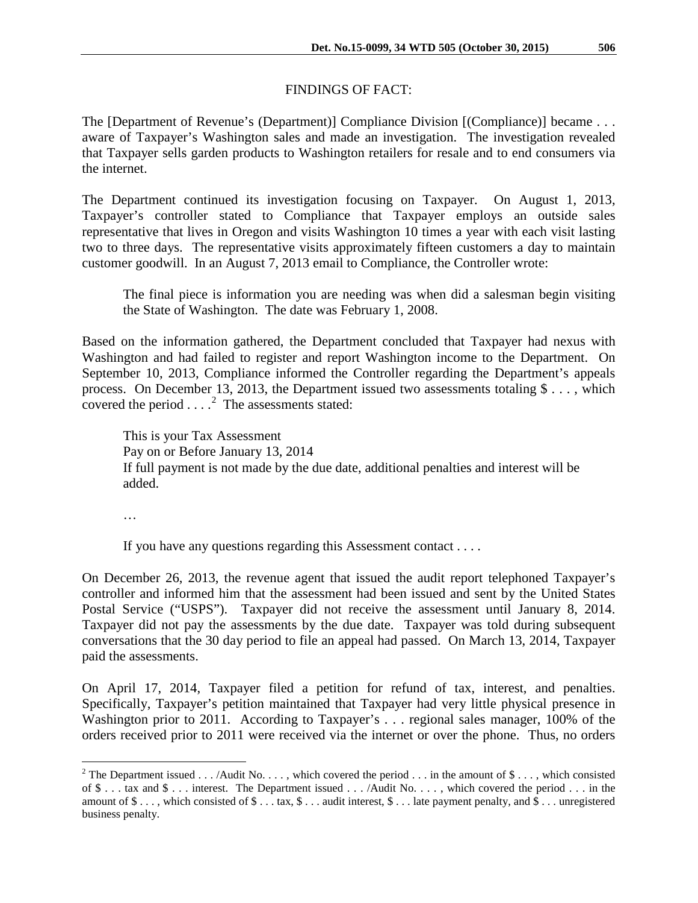# FINDINGS OF FACT:

The [Department of Revenue's (Department)] Compliance Division [(Compliance)] became . . . aware of Taxpayer's Washington sales and made an investigation. The investigation revealed that Taxpayer sells garden products to Washington retailers for resale and to end consumers via the internet.

The Department continued its investigation focusing on Taxpayer. On August 1, 2013, Taxpayer's controller stated to Compliance that Taxpayer employs an outside sales representative that lives in Oregon and visits Washington 10 times a year with each visit lasting two to three days. The representative visits approximately fifteen customers a day to maintain customer goodwill. In an August 7, 2013 email to Compliance, the Controller wrote:

The final piece is information you are needing was when did a salesman begin visiting the State of Washington. The date was February 1, 2008.

Based on the information gathered, the Department concluded that Taxpayer had nexus with Washington and had failed to register and report Washington income to the Department. On September 10, 2013, Compliance informed the Controller regarding the Department's appeals process. On December 13, 2013, the Department issued two assessments totaling \$ . . . , which covered the period  $\ldots$ <sup>[2](#page-1-0)</sup> The assessments stated:

This is your Tax Assessment Pay on or Before January 13, 2014 If full payment is not made by the due date, additional penalties and interest will be added.

…

If you have any questions regarding this Assessment contact . . . .

On December 26, 2013, the revenue agent that issued the audit report telephoned Taxpayer's controller and informed him that the assessment had been issued and sent by the United States Postal Service ("USPS"). Taxpayer did not receive the assessment until January 8, 2014. Taxpayer did not pay the assessments by the due date. Taxpayer was told during subsequent conversations that the 30 day period to file an appeal had passed. On March 13, 2014, Taxpayer paid the assessments.

On April 17, 2014, Taxpayer filed a petition for refund of tax, interest, and penalties. Specifically, Taxpayer's petition maintained that Taxpayer had very little physical presence in Washington prior to 2011. According to Taxpayer's . . . regional sales manager, 100% of the orders received prior to 2011 were received via the internet or over the phone. Thus, no orders

<span id="page-1-0"></span><sup>&</sup>lt;sup>2</sup> The Department issued . . . /Audit No. . . . , which covered the period . . . in the amount of \$ . . . , which consisted of  $\$\dots$  tax and  $\$\dots$  interest. The Department issued  $\dots$  /Audit No.  $\dots$ , which covered the period  $\dots$  in the amount of  $\$\ldots$ , which consisted of  $\$\ldots$  tax,  $\$\ldots$  audit interest,  $\$\ldots$  late payment penalty, and  $\$\ldots$  unregistered business penalty.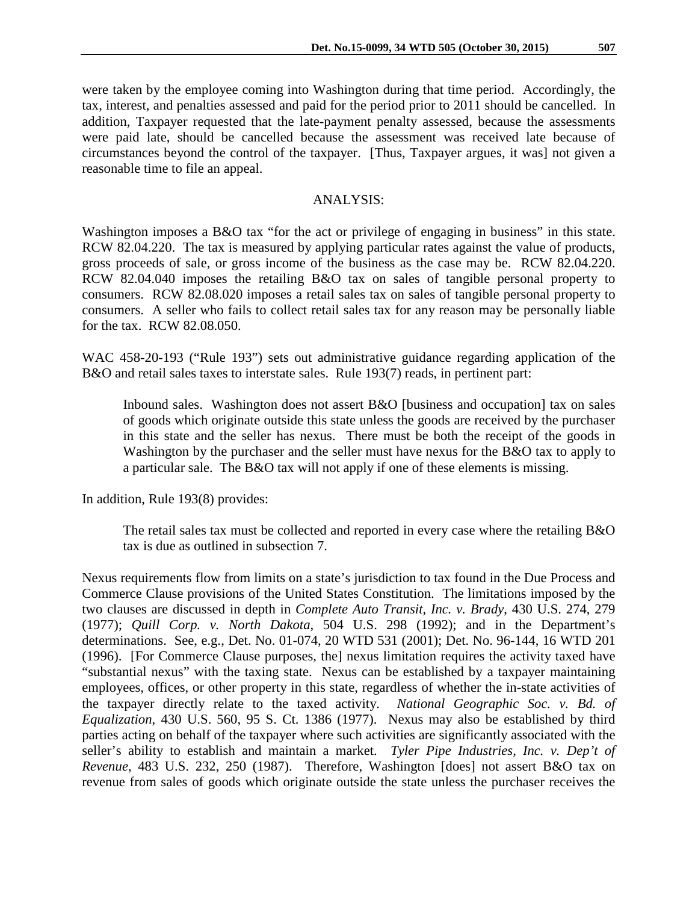were taken by the employee coming into Washington during that time period. Accordingly, the tax, interest, and penalties assessed and paid for the period prior to 2011 should be cancelled. In addition, Taxpayer requested that the late-payment penalty assessed, because the assessments were paid late, should be cancelled because the assessment was received late because of circumstances beyond the control of the taxpayer. [Thus, Taxpayer argues, it was] not given a reasonable time to file an appeal.

### ANALYSIS:

Washington imposes a B&O tax "for the act or privilege of engaging in business" in this state. RCW 82.04.220. The tax is measured by applying particular rates against the value of products, gross proceeds of sale, or gross income of the business as the case may be. RCW 82.04.220. RCW 82.04.040 imposes the retailing B&O tax on sales of tangible personal property to consumers. RCW 82.08.020 imposes a retail sales tax on sales of tangible personal property to consumers. A seller who fails to collect retail sales tax for any reason may be personally liable for the tax. RCW 82.08.050.

WAC 458-20-193 ("Rule 193") sets out administrative guidance regarding application of the B&O and retail sales taxes to interstate sales. Rule 193(7) reads, in pertinent part:

Inbound sales. Washington does not assert B&O [business and occupation] tax on sales of goods which originate outside this state unless the goods are received by the purchaser in this state and the seller has nexus. There must be both the receipt of the goods in Washington by the purchaser and the seller must have nexus for the B&O tax to apply to a particular sale. The B&O tax will not apply if one of these elements is missing.

In addition, Rule 193(8) provides:

The retail sales tax must be collected and reported in every case where the retailing B&O tax is due as outlined in subsection 7.

Nexus requirements flow from limits on a state's jurisdiction to tax found in the Due Process and Commerce Clause provisions of the United States Constitution. The limitations imposed by the two clauses are discussed in depth in *Complete Auto Transit, Inc. v. Brady*, 430 U.S. 274, 279 (1977); *Quill Corp. v. North Dakota*, 504 U.S. 298 (1992); and in the Department's determinations. See, e.g., Det. No. 01-074, 20 WTD 531 (2001); Det. No. 96-144, 16 WTD 201 (1996). [For Commerce Clause purposes, the] nexus limitation requires the activity taxed have "substantial nexus" with the taxing state. Nexus can be established by a taxpayer maintaining employees, offices, or other property in this state, regardless of whether the in-state activities of the taxpayer directly relate to the taxed activity. *National Geographic Soc. v. Bd. of Equalization*, 430 U.S. 560, 95 S. Ct. 1386 (1977). Nexus may also be established by third parties acting on behalf of the taxpayer where such activities are significantly associated with the seller's ability to establish and maintain a market. *Tyler Pipe Industries, Inc. v. Dep't of Revenue*, 483 U.S. 232, 250 (1987). Therefore, Washington [does] not assert B&O tax on revenue from sales of goods which originate outside the state unless the purchaser receives the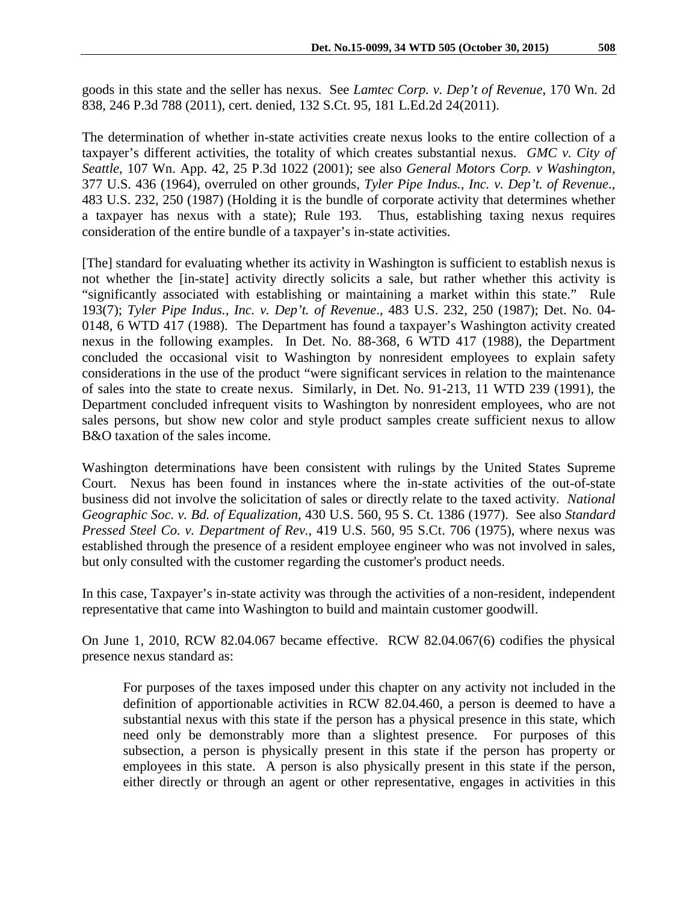goods in this state and the seller has nexus. See *Lamtec Corp. v. Dep't of Revenue*, 170 Wn. 2d 838, 246 P.3d 788 (2011), cert. denied, 132 S.Ct. 95, 181 L.Ed.2d 24(2011).

The determination of whether in-state activities create nexus looks to the entire collection of a taxpayer's different activities, the totality of which creates substantial nexus. *GMC v. City of Seattle*, 107 Wn. App. 42, 25 P.3d 1022 (2001); see also *General Motors Corp. v Washington*, 377 U.S. 436 (1964), overruled on other grounds, *Tyler Pipe Indus., Inc. v. Dep't. of Revenue*., 483 U.S. 232, 250 (1987) (Holding it is the bundle of corporate activity that determines whether a taxpayer has nexus with a state); Rule 193. Thus, establishing taxing nexus requires consideration of the entire bundle of a taxpayer's in-state activities.

[The] standard for evaluating whether its activity in Washington is sufficient to establish nexus is not whether the [in-state] activity directly solicits a sale, but rather whether this activity is "significantly associated with establishing or maintaining a market within this state." Rule 193(7); *Tyler Pipe Indus., Inc. v. Dep't. of Revenue*., 483 U.S. 232, 250 (1987); Det. No. 04- 0148, 6 WTD 417 (1988). The Department has found a taxpayer's Washington activity created nexus in the following examples. In Det. No. 88-368, 6 WTD 417 (1988), the Department concluded the occasional visit to Washington by nonresident employees to explain safety considerations in the use of the product "were significant services in relation to the maintenance of sales into the state to create nexus. Similarly, in Det. No. 91-213, 11 WTD 239 (1991), the Department concluded infrequent visits to Washington by nonresident employees, who are not sales persons, but show new color and style product samples create sufficient nexus to allow B&O taxation of the sales income.

Washington determinations have been consistent with rulings by the United States Supreme Court. Nexus has been found in instances where the in-state activities of the out-of-state business did not involve the solicitation of sales or directly relate to the taxed activity. *National Geographic Soc. v. Bd. of Equalization*, 430 U.S. 560, 95 S. Ct. 1386 (1977). See also *Standard Pressed Steel Co. v. Department of Rev.*, 419 U.S. 560, 95 S.Ct. 706 (1975), where nexus was established through the presence of a resident employee engineer who was not involved in sales, but only consulted with the customer regarding the customer's product needs.

In this case, Taxpayer's in-state activity was through the activities of a non-resident, independent representative that came into Washington to build and maintain customer goodwill.

On June 1, 2010, RCW 82.04.067 became effective. RCW 82.04.067(6) codifies the physical presence nexus standard as:

For purposes of the taxes imposed under this chapter on any activity not included in the definition of apportionable activities in RCW 82.04.460, a person is deemed to have a substantial nexus with this state if the person has a physical presence in this state, which need only be demonstrably more than a slightest presence. For purposes of this subsection, a person is physically present in this state if the person has property or employees in this state. A person is also physically present in this state if the person, either directly or through an agent or other representative, engages in activities in this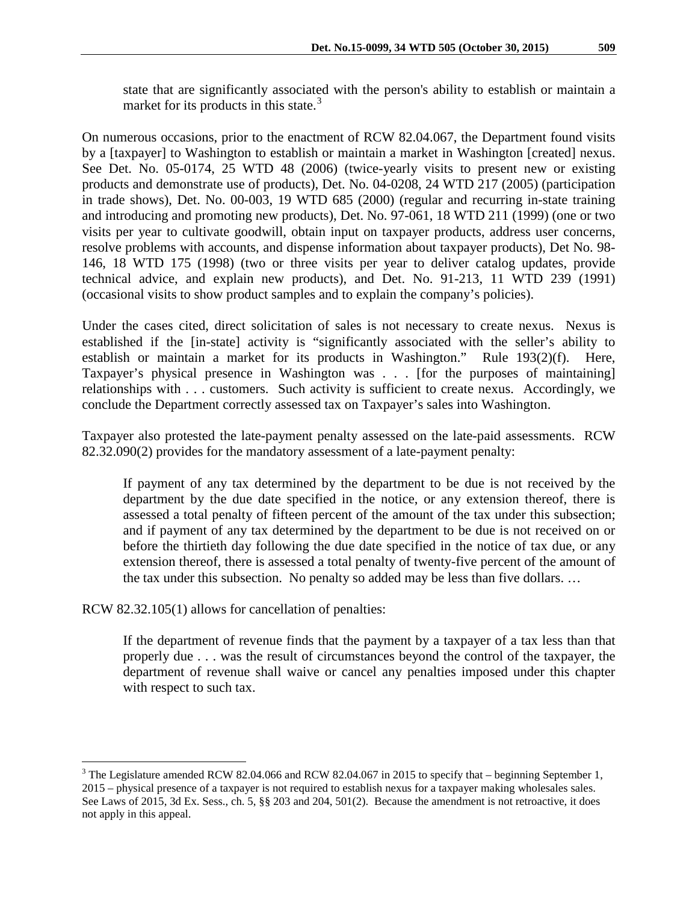state that are significantly associated with the person's ability to establish or maintain a market for its products in this state.<sup>[3](#page-4-0)</sup>

On numerous occasions, prior to the enactment of RCW 82.04.067, the Department found visits by a [taxpayer] to Washington to establish or maintain a market in Washington [created] nexus. See Det. No. 05-0174, 25 WTD 48 (2006) (twice-yearly visits to present new or existing products and demonstrate use of products), Det. No. 04-0208, 24 WTD 217 (2005) (participation in trade shows), Det. No. 00-003, 19 WTD 685 (2000) (regular and recurring in-state training and introducing and promoting new products), Det. No. 97-061, 18 WTD 211 (1999) (one or two visits per year to cultivate goodwill, obtain input on taxpayer products, address user concerns, resolve problems with accounts, and dispense information about taxpayer products), Det No. 98- 146, 18 WTD 175 (1998) (two or three visits per year to deliver catalog updates, provide technical advice, and explain new products), and Det. No. 91-213, 11 WTD 239 (1991) (occasional visits to show product samples and to explain the company's policies).

Under the cases cited, direct solicitation of sales is not necessary to create nexus. Nexus is established if the [in-state] activity is "significantly associated with the seller's ability to establish or maintain a market for its products in Washington." Rule 193(2)(f). Here, Taxpayer's physical presence in Washington was . . . [for the purposes of maintaining] relationships with . . . customers. Such activity is sufficient to create nexus. Accordingly, we conclude the Department correctly assessed tax on Taxpayer's sales into Washington.

Taxpayer also protested the late-payment penalty assessed on the late-paid assessments. RCW 82.32.090(2) provides for the mandatory assessment of a late-payment penalty:

If payment of any tax determined by the department to be due is not received by the department by the due date specified in the notice, or any extension thereof, there is assessed a total penalty of fifteen percent of the amount of the tax under this subsection; and if payment of any tax determined by the department to be due is not received on or before the thirtieth day following the due date specified in the notice of tax due, or any extension thereof, there is assessed a total penalty of twenty-five percent of the amount of the tax under this subsection. No penalty so added may be less than five dollars. …

RCW 82.32.105(1) allows for cancellation of penalties:

If the department of revenue finds that the payment by a taxpayer of a tax less than that properly due . . . was the result of circumstances beyond the control of the taxpayer, the department of revenue shall waive or cancel any penalties imposed under this chapter with respect to such tax.

<span id="page-4-0"></span><sup>&</sup>lt;sup>3</sup> The Legislature amended RCW 82.04.066 and RCW 82.04.067 in 2015 to specify that – beginning September 1, 2015 – physical presence of a taxpayer is not required to establish nexus for a taxpayer making wholesales sales. See Laws of 2015, 3d Ex. Sess., ch. 5, §§ 203 and 204, 501(2). Because the amendment is not retroactive, it does not apply in this appeal.